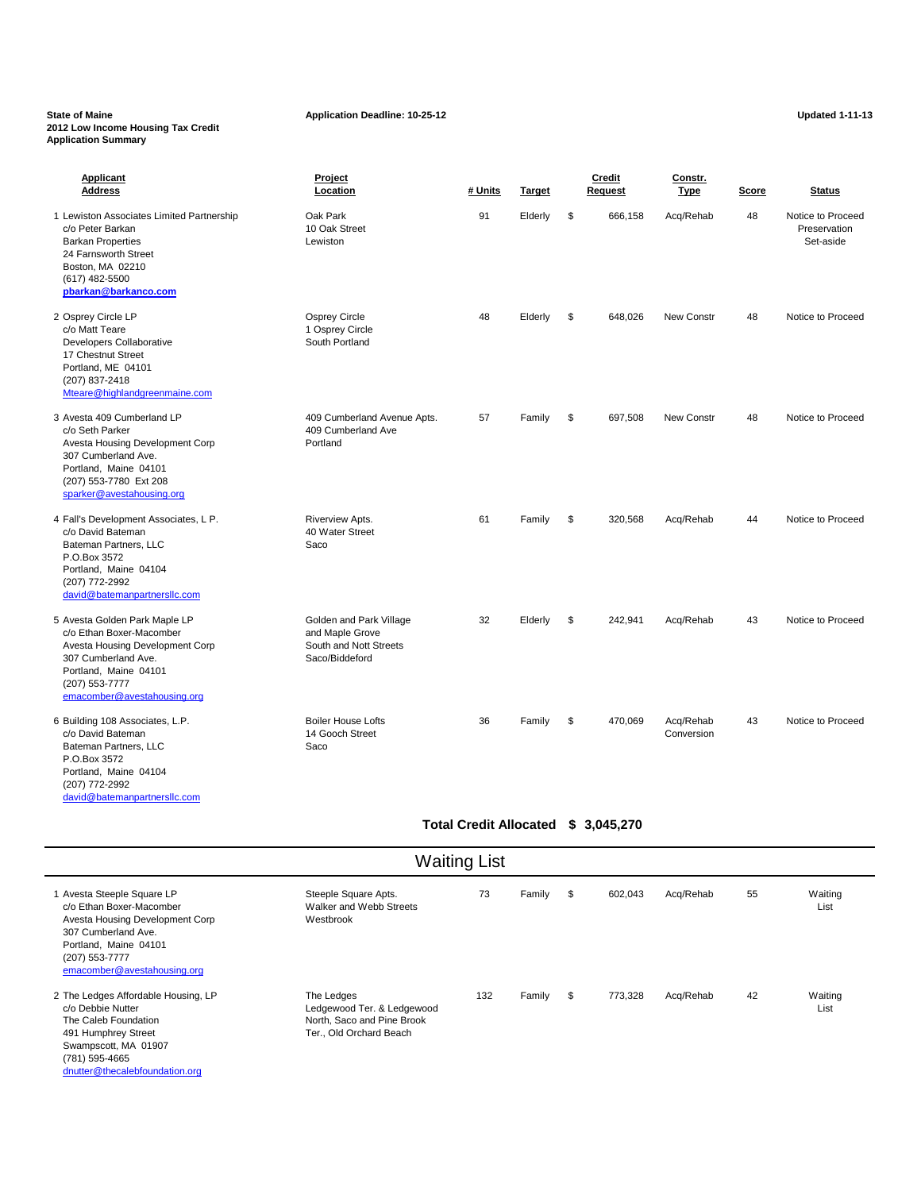### State of Maine **Application Deadline: 10-25-12 Application Deadline: 10-25-12 Updated 1-11-13 2012 Low Income Housing Tax Credit Application Summary**

**Applicant Project Credit Constr. Address Location # Units Target Request Type Score Status** 1 Lewiston Associates Limited Partnership Oak Park 91 Elderly \$ 666,158 Acq/Rehab 48 Notice to Proceed c/o Peter Barkan 10 Oak Street Preservation and the Street Preservation and the Street Preservation Barkan Properties Lewiston Set-aside 24 Farnsworth Street Boston, MA 02210 (617) 482-5500 **[pbarkan@barkanco.com](mailto:pbarkan@barkanco.com)** 2 Osprey Circle LP Osprey Circle 48 Elderly \$ 648,026 New Constr 48 Notice to Proceed c/o Matt Teare 1 Osprey Circle Developers Collaborative **South Portland** 17 Chestnut Street Portland, ME 04101 (207) 837-2418 [Mteare@highlandgreenmaine.com](mailto:Mteare@highlandgreenmaine.com) 3 Avesta 409 Cumberland LP 409 Cumberland Avenue Apts. 57 Family \$ 697,508 New Constr 48 Notice to Proceed c/o Seth Parker 2009 Cumberland Ave Avesta Housing Development Corp **Portland** 307 Cumberland Ave. Portland, Maine 04101 (207) 553-7780 Ext 208 [sparker@avestahousing.org](mailto:sparker@avestahousing.org) 4 Fall's Development Associates, L P. The Riverview Apts. 61 Family \$ 320,568 Acq/Rehab 44 Notice to Proceed c/o David Bateman and the street of the 40 Water Street Bateman Partners, LLC Saco P.O.Box 3572 Portland, Maine 04104 (207) 772-2992 [david@batemanpartnersllc.com](mailto:david@batemanpartnersllc.com) 5 Avesta Golden Park Maple LP **Solden and Park Village** 32 Elderly \$ 242,941 Acq/Rehab 43 Notice to Proceed c/o Ethan Boxer-Macomber and Maple Grove Avesta Housing Development Corp South and Nott Streets 307 Cumberland Ave. Saco/Biddeford Portland, Maine 04101 (207) 553-7777 [emacomber@avestahousing.org](mailto:emacomber@avestahousing.org) 6 Building 108 Associates, L.P. Boiler House Lofts 36 Family \$ 470,069 Acq/Rehab 43 Notice to Proceed c/o David Bateman **14 Gooch Street Conversion** 14 Gooch Street Conversion Bateman Partners, LLC Saco P.O.Box 3572 Portland, Maine 04104

## **Total Credit Allocated \$ 3,045,270**

| <b>Waiting List</b>                                                                                                                                                                      |                                                                                                   |     |        |    |         |           |    |                 |
|------------------------------------------------------------------------------------------------------------------------------------------------------------------------------------------|---------------------------------------------------------------------------------------------------|-----|--------|----|---------|-----------|----|-----------------|
| Avesta Steeple Square LP<br>c/o Ethan Boxer-Macomber<br>Avesta Housing Development Corp<br>307 Cumberland Ave.<br>Portland, Maine 04101<br>(207) 553-7777<br>emacomber@avestahousing.org | Steeple Square Apts.<br>Walker and Webb Streets<br>Westbrook                                      | 73  | Family | \$ | 602,043 | Acq/Rehab | 55 | Waiting<br>List |
| 2 The Ledges Affordable Housing, LP<br>c/o Debbie Nutter<br>The Caleb Foundation<br>491 Humphrey Street<br>Swampscott, MA 01907<br>(704) FOP 100F                                        | The Ledges<br>Ledgewood Ter. & Ledgewood<br>North, Saco and Pine Brook<br>Ter., Old Orchard Beach | 132 | Family | \$ | 773,328 | Acq/Rehab | 42 | Waiting<br>List |

(781) 595-4665 [dnutter@thecalebfoundation.org](mailto:dnutter@thecalebfoundation.org)

(207) 772-2992

[david@batemanpartnersllc.com](mailto:david@batemanpartnersllc.com)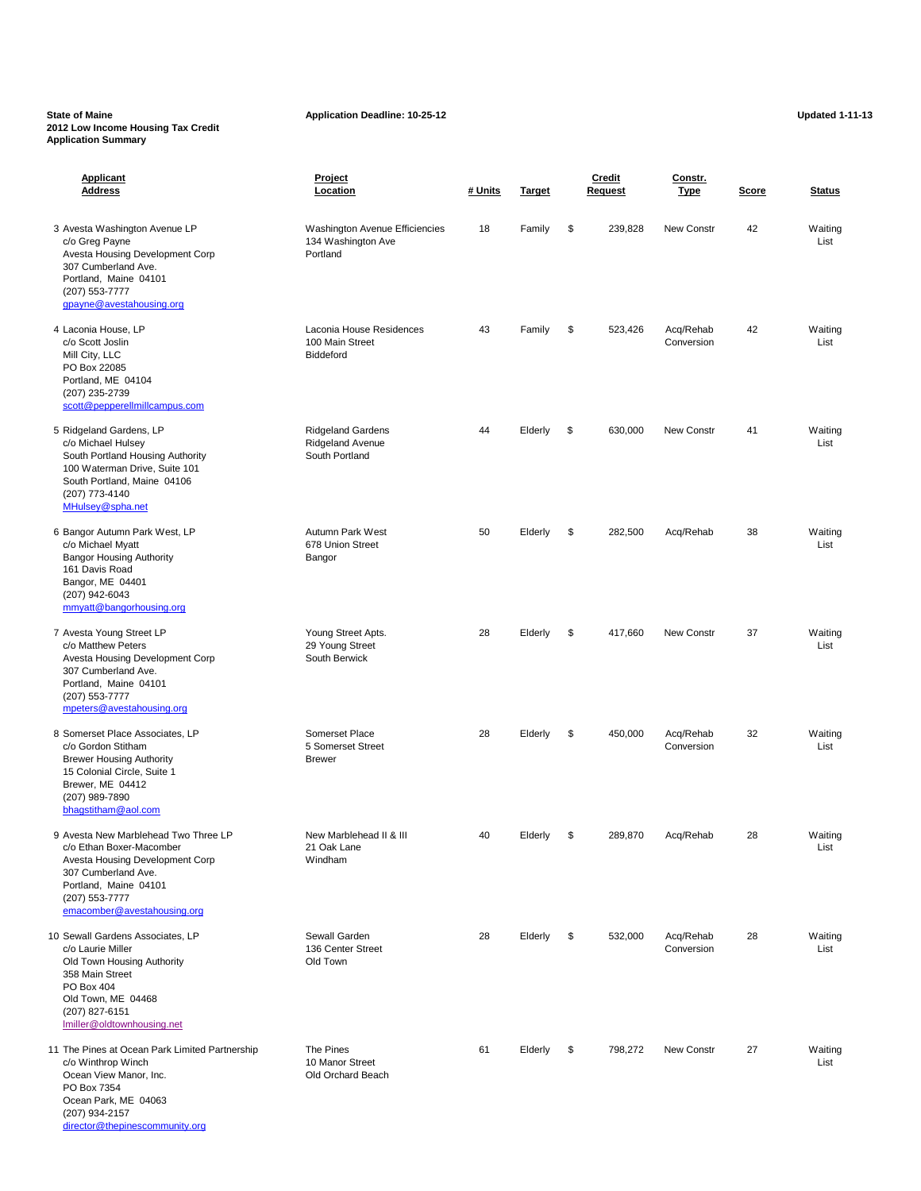### **State of Maine Application Deadline: 10-25-12 Application Deadline: 10-25-12 Updated 1-11-13 2012 Low Income Housing Tax Credit Application Summary**

| <b>Applicant</b><br><b>Address</b>                                                                                                                                                                   | Project<br>Location                                              | # Units | <b>Target</b> | <b>Credit</b><br><b>Request</b> | Constr.<br><b>Type</b>  | <b>Score</b> | <b>Status</b>   |
|------------------------------------------------------------------------------------------------------------------------------------------------------------------------------------------------------|------------------------------------------------------------------|---------|---------------|---------------------------------|-------------------------|--------------|-----------------|
| 3 Avesta Washington Avenue LP<br>c/o Greg Payne<br>Avesta Housing Development Corp<br>307 Cumberland Ave.<br>Portland, Maine 04101<br>(207) 553-7777<br>gpayne@avestahousing.org                     | Washington Avenue Efficiencies<br>134 Washington Ave<br>Portland | 18      | Family        | \$<br>239,828                   | New Constr              | 42           | Waiting<br>List |
| 4 Laconia House, LP<br>c/o Scott Joslin<br>Mill City, LLC<br>PO Box 22085<br>Portland, ME 04104<br>(207) 235-2739<br>scott@pepperellmillcampus.com                                                   | Laconia House Residences<br>100 Main Street<br><b>Biddeford</b>  | 43      | Family        | \$<br>523,426                   | Acq/Rehab<br>Conversion | 42           | Waiting<br>List |
| 5 Ridgeland Gardens, LP<br>c/o Michael Hulsey<br>South Portland Housing Authority<br>100 Waterman Drive, Suite 101<br>South Portland, Maine 04106<br>(207) 773-4140<br>MHulsey@spha.net              | <b>Ridgeland Gardens</b><br>Ridgeland Avenue<br>South Portland   | 44      | Elderly       | \$<br>630,000                   | New Constr              | 41           | Waiting<br>List |
| 6 Bangor Autumn Park West, LP<br>c/o Michael Myatt<br><b>Bangor Housing Authority</b><br>161 Davis Road<br>Bangor, ME 04401<br>(207) 942-6043<br>mmyatt@bangorhousing.org                            | Autumn Park West<br>678 Union Street<br>Bangor                   | 50      | Elderly       | \$<br>282,500                   | Acq/Rehab               | 38           | Waiting<br>List |
| 7 Avesta Young Street LP<br>c/o Matthew Peters<br>Avesta Housing Development Corp<br>307 Cumberland Ave.<br>Portland, Maine 04101<br>(207) 553-7777<br>mpeters@avestahousing.org                     | Young Street Apts.<br>29 Young Street<br>South Berwick           | 28      | Elderly       | \$<br>417,660                   | New Constr              | 37           | Waiting<br>List |
| 8 Somerset Place Associates, LP<br>c/o Gordon Stitham<br><b>Brewer Housing Authority</b><br>15 Colonial Circle, Suite 1<br>Brewer, ME 04412<br>(207) 989-7890<br>bhagstitham@aol.com                 | Somerset Place<br>5 Somerset Street<br><b>Brewer</b>             | 28      | Elderly       | \$<br>450,000                   | Acq/Rehab<br>Conversion | 32           | Waiting<br>List |
| 9 Avesta New Marblehead Two Three LP<br>c/o Ethan Boxer-Macomber<br>Avesta Housing Development Corp<br>307 Cumberland Ave.<br>Portland, Maine 04101<br>(207) 553-7777<br>emacomber@avestahousing.org | New Marblehead II & III<br>21 Oak Lane<br>Windham                | 40      | Elderly       | \$<br>289,870                   | Acq/Rehab               | 28           | Waiting<br>List |
| 10 Sewall Gardens Associates, LP<br>c/o Laurie Miller<br>Old Town Housing Authority<br>358 Main Street<br>PO Box 404<br>Old Town, ME 04468<br>(207) 827-6151<br>Imiller@oldtownhousing.net           | Sewall Garden<br>136 Center Street<br>Old Town                   | 28      | Elderly       | \$<br>532,000                   | Acq/Rehab<br>Conversion | 28           | Waiting<br>List |
| 11 The Pines at Ocean Park Limited Partnership<br>c/o Winthrop Winch<br>Ocean View Manor, Inc.<br>PO Box 7354<br>Ocean Park, ME 04063                                                                | The Pines<br>10 Manor Street<br>Old Orchard Beach                | 61      | Elderly       | \$<br>798,272                   | New Constr              | 27           | Waiting<br>List |

(207) 934-2157

[director@thepinescommunity.org](mailto:director@thepinescommunity.org)